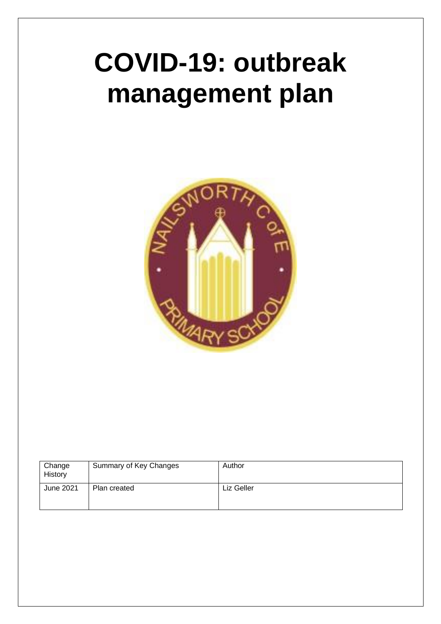# **COVID-19: outbreak management plan**



| Change<br>History | Summary of Key Changes | Author     |
|-------------------|------------------------|------------|
| June 2021         | Plan created           | Liz Geller |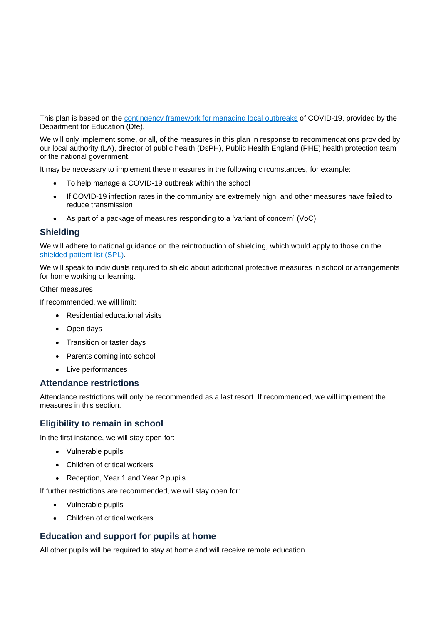This plan is based on the [contingency framework for managing local outbreaks](https://www.gov.uk/government/publications/coronavirus-covid-19-local-restrictions-in-education-and-childcare-settings) of COVID-19, provided by the Department for Education (Dfe).

We will only implement some, or all, of the measures in this plan in response to recommendations provided by our local authority (LA), director of public health (DsPH), Public Health England (PHE) health protection team or the national government.

It may be necessary to implement these measures in the following circumstances, for example:

- To help manage a COVID-19 outbreak within the school
- If COVID-19 infection rates in the community are extremely high, and other measures have failed to reduce transmission
- As part of a package of measures responding to a 'variant of concern' (VoC)

### **Shielding**

We will adhere to national guidance on the reintroduction of shielding, which would apply to those on the shielded [patient list \(SPL\).](https://digital.nhs.uk/coronavirus/shielded-patient-list)

We will speak to individuals required to shield about additional protective measures in school or arrangements for home working or learning.

#### Other measures

If recommended, we will limit:

- Residential educational visits
- Open days
- Transition or taster days
- Parents coming into school
- Live performances

#### **Attendance restrictions**

Attendance restrictions will only be recommended as a last resort. If recommended, we will implement the measures in this section.

# **Eligibility to remain in school**

In the first instance, we will stay open for:

- Vulnerable pupils
- Children of critical workers
- Reception, Year 1 and Year 2 pupils

If further restrictions are recommended, we will stay open for:

- Vulnerable pupils
- Children of critical workers

# **Education and support for pupils at home**

All other pupils will be required to stay at home and will receive remote education.